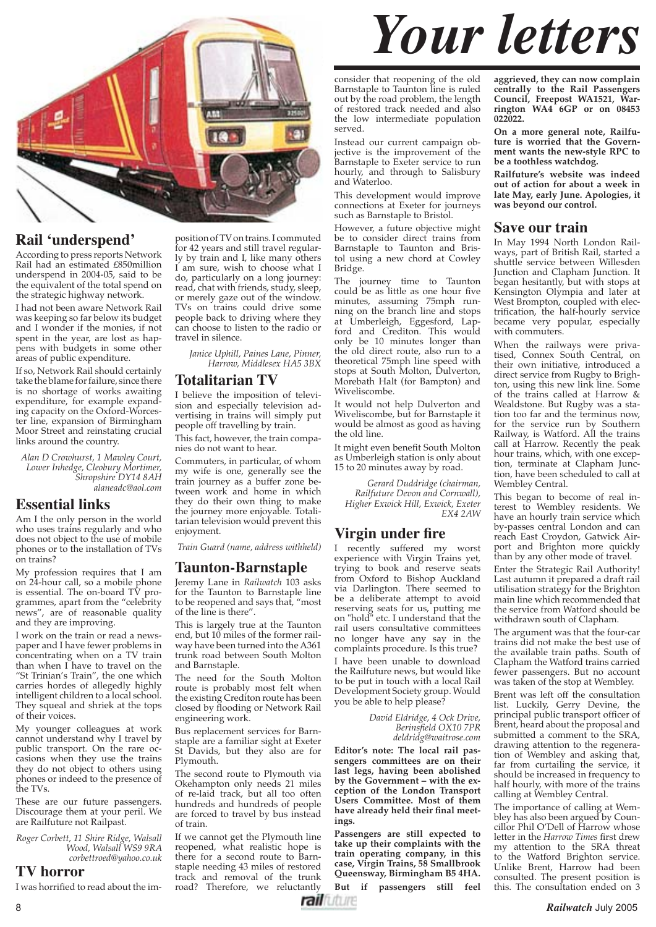

#### **Rail ʻunderspend'**

According to press reports Network Rail had an estimated £850million underspend in 2004-05, said to be the equivalent of the total spend on the strategic highway network.

I had not been aware Network Rail was keeping so far below its budget and I wonder if the monies, if not spent in the year, are lost as happens with budgets in some other areas of public expenditure.

If so, Network Rail should certainly take the blame for failure, since there is no shortage of works awaiting expenditure, for example expanding capacity on the Oxford-Worcester line, expansion of Birmingham Moor Street and reinstating crucial links around the country.

*Alan D Crowhurst, 1 Mawley Court, Lower Inhedge, Cleobury Mortimer, Shropshire DY14 8AH alaneadc@aol.com*

#### **Essential links**

Am I the only person in the world who uses trains regularly and who does not object to the use of mobile phones or to the installation of TVs on trains?

My profession requires that I am on 24-hour call, so a mobile phone is essential. The on-board TV programmes, apart from the "celebrity news", are of reasonable quality and they are improving.

I work on the train or read a newspaper and I have fewer problems in concentrating when on a TV train than when I have to travel on the "St Trinian's Train", the one which carries hordes of allegedly highly intelligent children to a local school. They squeal and shriek at the tops of their voices.

My younger colleagues at work cannot understand why I travel by public transport. On the rare occasions when they use the trains they do not object to others using phones or indeed to the presence of the TVs.

These are our future passengers. Discourage them at your peril. We are Railfuture not Railpast.

*Roger Corbett, 11 Shire Ridge, Walsall Wood, Walsall WS9 9RA corbettroed@yahoo.co.uk* 

#### **TV horror**

I was horrified to read about the im-

position of TV on trains. I commuted for 42 years and still travel regularly by train and I, like many others I am sure, wish to choose what I do, particularly on a long journey: read, chat with friends, study, sleep, or merely gaze out of the window. TVs on trains could drive some people back to driving where they can choose to listen to the radio or travel in silence.

*Janice Uphill, Paines Lane, Pinner, Harrow, Middlesex HA5 3BX*

#### **Totalitarian TV**

I believe the imposition of television and especially television advertising in trains will simply put people off travelling by train.

This fact, however, the train companies do not want to hear.

Commuters, in particular, of whom my wife is one, generally see the train journey as a buffer zone between work and home in which they do their own thing to make the journey more enjoyable. Totalitarian television would prevent this enjoyment.

*Train Guard (name, address withheld)*

#### **Taunton-Barnstaple**

Jeremy Lane in *Railwatch* 103 asks for the Taunton to Barnstaple line to be reopened and says that, "most of the line is there".

This is largely true at the Taunton end, but 10 miles of the former railway have been turned into the A361 trunk road between South Molton and Barnstaple.

The need for the South Molton route is probably most felt when the existing Crediton route has been closed by flooding or Network Rail engineering work.

Bus replacement services for Barnstaple are a familiar sight at Exeter St Davids, but they also are for Plymouth.

The second route to Plymouth via Okehampton only needs 21 miles of re-laid track, but all too often hundreds and hundreds of people are forced to travel by bus instead of train.

If we cannot get the Plymouth line reopened, what realistic hope is there for a second route to Barnstaple needing 43 miles of restored track and removal of the trunk road? Therefore, we reluctantly

*Your letters*

consider that reopening of the old Barnstaple to Taunton line is ruled out by the road problem, the length of restored track needed and also the low intermediate population served.

Instead our current campaign objective is the improvement of the Barnstaple to Exeter service to run hourly, and through to Salisbury and Waterloo.

This development would improve connections at Exeter for journeys such as Barnstaple to Bristol.

However, a future objective might be to consider direct trains from Barnstaple to Taunton and Bristol using a new chord at Cowley Bridge.

The journey time to Taunton could be as little as one hour five minutes, assuming 75mph running on the branch line and stops at Umberleigh, Eggesford, Lapford and Crediton. This would only be 10 minutes longer than the old direct route, also run to a theoretical 75mph line speed with stops at South Molton, Dulverton, Morebath Halt (for Bampton) and Wiveliscombe.

It would not help Dulverton and Wiveliscombe, but for Barnstaple it would be almost as good as having the old line.

It might even benefit South Molton as Umberleigh station is only about 15 to 20 minutes away by road.

*Gerard Duddridge (chairman, Railfuture Devon and Cornwall), Higher Exwick Hill, Exwick, Exeter EX4 2AW*

#### **Virgin under fire**

I recently suffered my worst experience with Virgin Trains yet, trying to book and reserve seats from Oxford to Bishop Auckland via Darlington. There seemed to be a deliberate attempt to avoid reserving seats for us, putting me on "hold" etc. I understand that the rail users consultative committees no longer have any say in the complaints procedure. Is this true? I have been unable to download the Railfuture news, but would like to be put in touch with a local Rail Development Society group. Would you be able to help please?

> *David Eldridge, 4 Ock Drive, Berinsfield OX10 7PR deldridg@waitrose.com*

**Editor's note: The local rail passengers committees are on their last legs, having been abolished by the Government – with the exception of the London Transport Users Committee. Most of them**  have already held their final meet**ings.**

**Passengers are still expected to take up their complaints with the train operating company, in this case, Virgin Trains, 58 Smallbrook Queensway, Birmingham B5 4HA.**

**But if passengers still feel** 

 **aggrieved, they can now complain centrally to the Rail Passengers Council, Freepost WA1521, Warrington WA4 6GP or on 08453 022022.** 

**On a more general note, Railfuture is worried that the Government wants the new-style RPC to be a toothless watchdog.**

**Railfuture's website was indeed out of action for about a week in late May, early June. Apologies, it was beyond our control.**

#### **Save our train**

In May 1994 North London Railways, part of British Rail, started a shuttle service between Willesden Junction and Clapham Junction. It began hesitantly, but with stops at Kensington Olympia and later at West Brompton, coupled with electrification, the half-hourly service became very popular, especially with commuters.

When the railways were privatised, Connex South Central, on their own initiative, introduced a direct service from Rugby to Brighton, using this new link line. Some of the trains called at Harrow & Wealdstone. But Rugby was a station too far and the terminus now, for the service run by Southern Railway, is Watford. All the trains call at Harrow. Recently the peak hour trains, which, with one exception, terminate at Clapham Junction, have been scheduled to call at Wembley Central.

This began to become of real interest to Wembley residents. We have an hourly train service which by-passes central London and can reach East Croydon, Gatwick Airport and Brighton more quickly than by any other mode of travel.

Enter the Strategic Rail Authority! Last autumn it prepared a draft rail utilisation strategy for the Brighton main line which recommended that the service from Watford should be withdrawn south of Clapham.

The argument was that the four-car trains did not make the best use of the available train paths. South of Clapham the Watford trains carried fewer passengers. But no account was taken of the stop at Wembley.

Brent was left off the consultation list. Luckily, Gerry Devine, the principal public transport officer of Brent, heard about the proposal and submitted a comment to the SRA, drawing attention to the regeneration of Wembley and asking that, far from curtailing the service, it should be increased in frequency to half hourly, with more of the trains calling at Wembley Central.

The importance of calling at Wembley has also been argued by Councillor Phil O'Dell of Harrow whose letter in the *Harrow Times* first drew my attention to the SRA threat to the Watford Brighton service. Unlike Brent, Harrow had been consulted. The present position is this. The consultation ended on 3

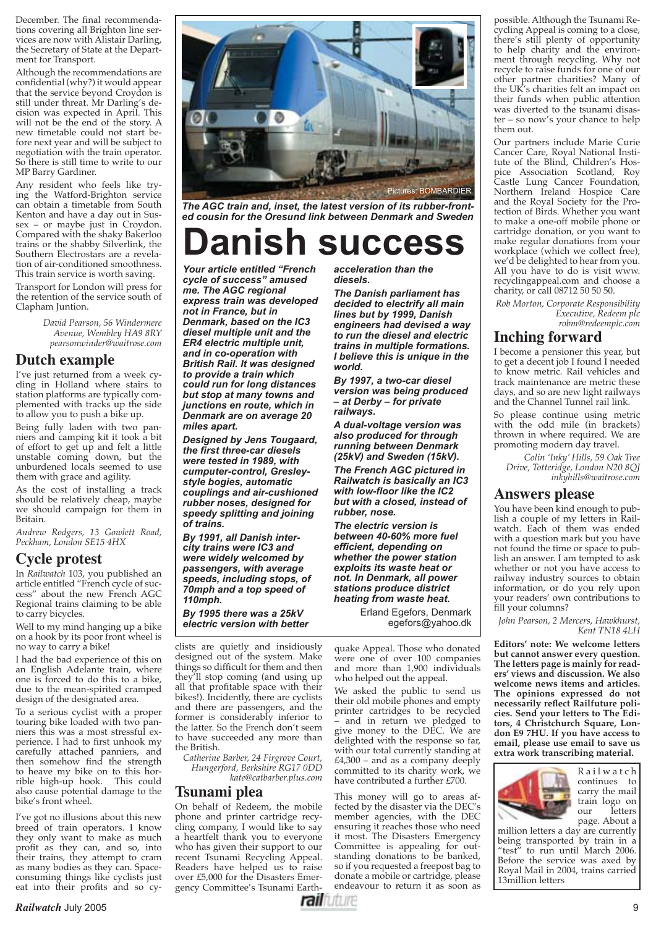December. The final recommendations covering all Brighton line services are now with Alistair Darling, the Secretary of State at the Department for Transport.

Although the recommendations are confidential (why?) it would appear that the service beyond Croydon is still under threat. Mr Darling's decision was expected in April. This will not be the end of the story. A new timetable could not start before next year and will be subject to negotiation with the train operator. So there is still time to write to our MP Barry Gardiner.

Any resident who feels like trying the Watford-Brighton service can obtain a timetable from South Kenton and have a day out in Sussex – or maybe just in Croydon. Compared with the shaky Bakerloo trains or the shabby Silverlink, the Southern Electrostars are a revelation of air-conditioned smoothness. This train service is worth saving.

Transport for London will press for the retention of the service south of Clapham Juntion.

> *David Pearson, 56 Windermere Avenue, Wembley HA9 8RY pearsonwinder@waitrose.com*

#### **Dutch example**

I've just returned from a week cycling in Holland where stairs to station platforms are typically complemented with tracks up the side to allow you to push a bike up.

Being fully laden with two panniers and camping kit it took a bit of effort to get up and felt a little unstable coming down, but the unburdened locals seemed to use them with grace and agility.

As the cost of installing a track should be relatively cheap, maybe we should campaign for them in Britain.

*Andrew Rodgers, 13 Gowlett Road, Peckham, London SE15 4HX* 

#### **Cycle protest**

In *Railwatch* 103, you published an article entitled "French cycle of success" about the new French AGC Regional trains claiming to be able to carry bicycles.

Well to my mind hanging up a bike on a hook by its poor front wheel is no way to carry a bike!

I had the bad experience of this on an English Adelante train, where one is forced to do this to a bike, due to the mean-spirited cramped design of the designated area.

To a serious cyclist with a proper touring bike loaded with two panniers this was a most stressful experience. I had to first unhook my carefully attached panniers, and then somehow find the strength to heave my bike on to this horrible high-up hook. This could also cause potential damage to the bike's front wheel.

I've got no illusions about this new breed of train operators. I know they only want to make as much profit as they can, and so, into their trains, they attempt to cram as many bodies as they can. Spaceconsuming things like cyclists just eat into their profits and so  $cy$ -



*The AGC train and, inset, the latest version of its rubber-fronted cousin for the Oresund link between Denmark and Sweden*

# **SUCCESS**

*Your article entitled "French cycle of success" amused me. The AGC regional express train was developed not in France, but in Denmark, based on the IC3 diesel multiple unit and the ER4 electric multiple unit, and in co-operation with British Rail. It was designed to provide a train which could run for long distances but stop at many towns and junctions en route, which in Denmark are on average 20 miles apart.*

*Designed by Jens Tougaard, the fi rst three-car diesels were tested in 1989, with cumputer-control, Gresleystyle bogies, automatic couplings and air-cushioned rubber noses, designed for speedy splitting and joining of trains.*

*By 1991, all Danish intercity trains were IC3 and were widely welcomed by passengers, with average speeds, including stops, of 70mph and a top speed of 110mph.*

*By 1995 there was a 25kV electric version with better* 

clists are quietly and insidiously designed out of the system. Make things so difficult for them and then they'll stop coming (and using up all that profitable space with their bikes!). Incidently, there are cyclists and there are passengers, and the former is considerably inferior to the latter. So the French don't seem to have succeeded any more than the British.

*Catherine Barber, 24 Firgrove Court, Hungerford, Berkshire RG17 0DD kate@catbarber.plus.com*

#### **Tsunami plea**

On behalf of Redeem, the mobile phone and printer cartridge recycling company, I would like to say a heartfelt thank you to everyone who has given their support to our recent Tsunami Recycling Appeal. Readers have helped us to raise over £5,000 for the Disasters Emergency Committee's Tsunami Earth*acceleration than the diesels.*

*The Danish parliament has decided to electrify all main lines but by 1999, Danish engineers had devised a way to run the diesel and electric trains in multiple formations. I believe this is unique in the world.*

*By 1997, a two-car diesel version was being produced – at Derby – for private railways.*

*A dual-voltage version was also produced for through running between Denmark (25kV) and Sweden (15kV).*

*The French AGC pictured in Railwatch is basically an IC3 with low-fl oor like the IC2 but with a closed, instead of rubber, nose.*

*The electric version is between 40-60% more fuel effi cient, depending on whether the power station exploits its waste heat or not. In Denmark, all power stations produce district heating from waste heat.*

> Erland Egefors, Denmark egefors@yahoo.dk

quake Appeal. Those who donated were one of over 100 companies and more than 1,900 individuals who helped out the appeal.

We asked the public to send us their old mobile phones and empty printer cartridges to be recycled – and in return we pledged to give money to the DEC. We are delighted with the response so far, with our total currently standing at  $£4,300$  – and as a company deeply committed to its charity work, we have contributed a further £700.

This money will go to areas affected by the disaster via the DEC's member agencies, with the DEC ensuring it reaches those who need it most. The Disasters Emergency Committee is appealing for outstanding donations to be banked, so if you requested a freepost bag to donate a mobile or cartridge, please endeavour to return it as soon as possible. Although the Tsunami Recycling Appeal is coming to a close, there's still plenty of opportunity to help charity and the environment through recycling. Why not recycle to raise funds for one of our other partner charities? Many of the UK's charities felt an impact on their funds when public attention was diverted to the tsunami disaster – so now's your chance to help them out.

Our partners include Marie Curie Cancer Care, Royal National Institute of the Blind, Children's Hospice Association Scotland, Roy Castle Lung Cancer Foundation, Northern Ireland Hospice Care and the Royal Society for the Protection of Birds. Whether you want to make a one-off mobile phone or cartridge donation, or you want to make regular donations from your workplace (which we collect free), we'd be delighted to hear from you. All you have to do is visit www. recyclingappeal.com and choose a charity, or call 08712 50 50 50.

*Rob Morton, Corporate Responsibility Executive, Redeem plc robm@redeemplc.com*

#### **Inching forward**

I become a pensioner this year, but to get a decent job I found I needed to know metric. Rail vehicles and track maintenance are metric these days, and so are new light railways and the Channel Tunnel rail link.

So please continue using metric with the odd mile (in brackets) thrown in where required. We are promoting modern day travel.

*Colin 'Inky' Hills, 59 Oak Tree Drive, Totteridge, London N20 8QJ inkyhills@waitrose.com*

#### **Answers please**

You have been kind enough to publish a couple of my letters in Railwatch. Each of them was ended with a question mark but you have not found the time or space to publish an answer. I am tempted to ask whether or not you have access to railway industry sources to obtain information, or do you rely upon your readers' own contributions to fill your columns?

*John Pearson, 2 Mercers, Hawkhurst, Kent TN18 4LH*

**Editors' note: We welcome letters but cannot answer every question. The letters page is mainly for readers' views and discussion. We also welcome news items and articles. The opinions expressed do not**  necessarily reflect Railfuture poli**cies. Send your letters to The Editors, 4 Christchurch Square, London E9 7HU. If you have access to email, please use email to save us extra work transcribing material.**



R a i l w a t c h continues to carry the mail train logo on letters page. About a

million letters a day are currently being transported by train in a "test" to run until March 2006. Before the service was axed by Royal Mail in 2004, trains carried 13million letters